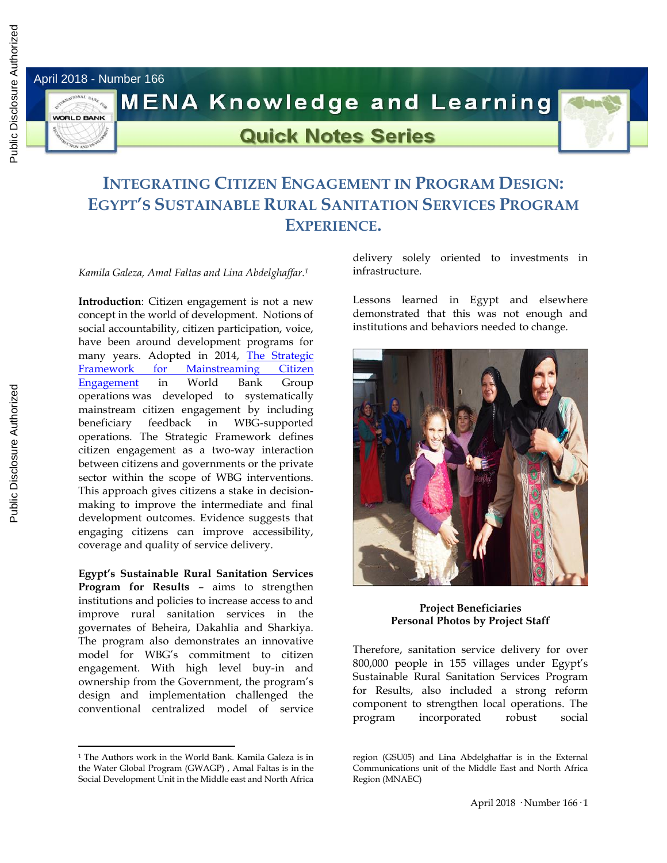April 2018 - Number 166

**WORLD BANK** 



**MENA Knowledge and Learning** 

## **Quick Notes Series**

## **INTEGRATING CITIZEN ENGAGEMENT IN PROGRAM DESIGN: EGYPT'S SUSTAINABLE RURAL SANITATION SERVICES PROGRAM EXPERIENCE.**

*Kamila Galeza, Amal Faltas and Lina Abdelghaffar. 1*

**Introduction**: Citizen engagement is not a new concept in the world of development. Notions of social accountability, citizen participation, voice, have been around development programs for many years. Adopted in 2014, [The Strategic](http://documents.worldbank.org/curated/en/2014/01/20472021/strategic-framework-mainstreaming-citizen-engagement-world-bank-group-operations-engaging-citizens-improved-results)  [Framework for Mainstreaming Citizen](http://documents.worldbank.org/curated/en/2014/01/20472021/strategic-framework-mainstreaming-citizen-engagement-world-bank-group-operations-engaging-citizens-improved-results)  [Engagement](http://documents.worldbank.org/curated/en/2014/01/20472021/strategic-framework-mainstreaming-citizen-engagement-world-bank-group-operations-engaging-citizens-improved-results) in World Bank Group operations was developed to systematically mainstream citizen engagement by including beneficiary feedback in WBG-supported operations. The Strategic Framework defines citizen engagement as a two-way interaction between citizens and governments or the private sector within the scope of WBG interventions. This approach gives citizens a stake in decisionmaking to improve the intermediate and final development outcomes. Evidence suggests that engaging citizens can improve accessibility, coverage and quality of service delivery.

**Egypt's Sustainable Rural Sanitation Services Program for Results** – aims to strengthen institutions and policies to increase access to and improve rural sanitation services in the governates of Beheira, Dakahlia and Sharkiya. The program also demonstrates an innovative model for WBG's commitment to citizen engagement. With high level buy-in and ownership from the Government, the program's design and implementation challenged the conventional centralized model of service

<sup>1</sup> The Authors work in the World Bank. Kamila Galeza is in the Water Global Program (GWAGP) , Amal Faltas is in the Social Development Unit in the Middle east and North Africa delivery solely oriented to investments in infrastructure.

Lessons learned in Egypt and elsewhere demonstrated that this was not enough and institutions and behaviors needed to change.



**Project Beneficiaries Personal Photos by Project Staff**

Therefore, sanitation service delivery for over 800,000 people in 155 villages under Egypt's Sustainable Rural Sanitation Services Program for Results, also included a strong reform component to strengthen local operations. The program incorporated robust social

Public Disclosure Authorized

 $\overline{a}$ 

region (GSU05) and Lina Abdelghaffar is in the External Communications unit of the Middle East and North Africa Region (MNAEC)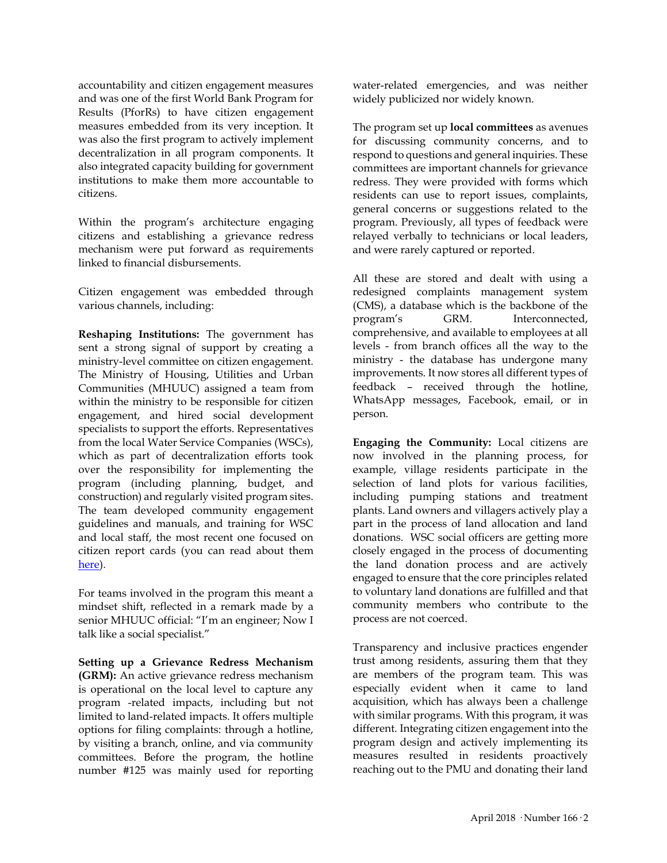accountability and citizen engagement measures and was one of the first World Bank Program for Results (PforRs) to have citizen engagement measures embedded from its very inception. It was also the first program to actively implement decentralization in all program components. It also integrated capacity building for government institutions to make them more accountable to citizens.

Within the program's architecture engaging citizens and establishing a grievance redress mechanism were put forward as requirements linked to financial disbursements.

Citizen engagement was embedded through various channels, including:

**Reshaping Institutions:** The government has sent a strong signal of support by creating a ministry-level committee on citizen engagement. The Ministry of Housing, Utilities and Urban Communities (MHUUC) assigned a team from within the ministry to be responsible for citizen engagement, and hired social development specialists to support the efforts. Representatives from the local Water Service Companies (WSCs), which as part of decentralization efforts took over the responsibility for implementing the program (including planning, budget, and construction) and regularly visited program sites. The team developed community engagement guidelines and manuals, and training for WSC and local staff, the most recent one focused on citizen report cards (you can read about them [here\)](http://blogs.worldbank.org/arabvoices/citizen-report-cards-better-citizen-engagement-and-accountability-sanitation-sector-egypt).

For teams involved in the program this meant a mindset shift, reflected in a remark made by a senior MHUUC official: "I'm an engineer; Now I talk like a social specialist."

**Setting up a Grievance Redress Mechanism (GRM):** An active grievance redress mechanism is operational on the local level to capture any program -related impacts, including but not limited to land-related impacts. It offers multiple options for filing complaints: through a hotline, by visiting a branch, online, and via community committees. Before the program, the hotline number #125 was mainly used for reporting

water-related emergencies, and was neither widely publicized nor widely known.

The program set up **local committees** as avenues for discussing community concerns, and to respond to questions and general inquiries. These committees are important channels for grievance redress. They were provided with forms which residents can use to report issues, complaints, general concerns or suggestions related to the program. Previously, all types of feedback were relayed verbally to technicians or local leaders, and were rarely captured or reported.

All these are stored and dealt with using a redesigned complaints management system (CMS), a database which is the backbone of the program's GRM. Interconnected, comprehensive, and available to employees at all levels - from branch offices all the way to the ministry - the database has undergone many improvements. It now stores all different types of feedback – received through the hotline, WhatsApp messages, Facebook, email, or in person.

**Engaging the Community:** Local citizens are now involved in the planning process, for example, village residents participate in the selection of land plots for various facilities, including pumping stations and treatment plants. Land owners and villagers actively play a part in the process of land allocation and land donations. WSC social officers are getting more closely engaged in the process of documenting the land donation process and are actively engaged to ensure that the core principles related to voluntary land donations are fulfilled and that community members who contribute to the process are not coerced.

Transparency and inclusive practices engender trust among residents, assuring them that they are members of the program team. This was especially evident when it came to land acquisition, which has always been a challenge with similar programs. With this program, it was different. Integrating citizen engagement into the program design and actively implementing its measures resulted in residents proactively reaching out to the PMU and donating their land